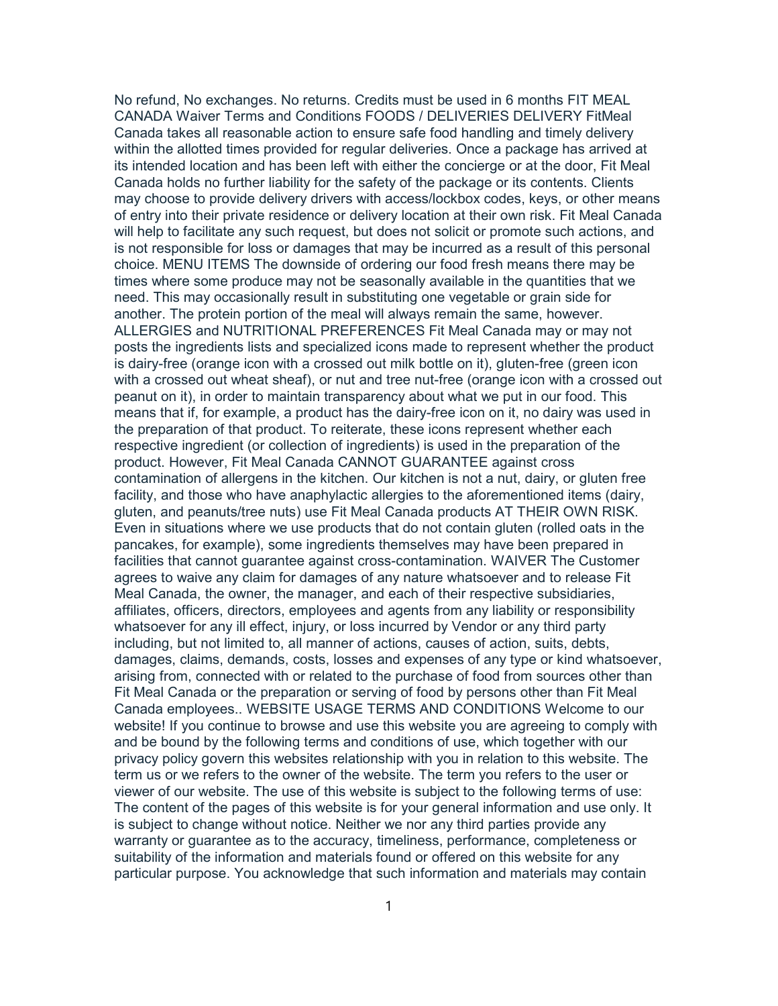No refund, No exchanges. No returns. Credits must be used in 6 months FIT MEAL CANADA Waiver Terms and Conditions FOODS / DELIVERIES DELIVERY FitMeal Canada takes all reasonable action to ensure safe food handling and timely delivery within the allotted times provided for regular deliveries. Once a package has arrived at its intended location and has been left with either the concierge or at the door, Fit Meal Canada holds no further liability for the safety of the package or its contents. Clients may choose to provide delivery drivers with access/lockbox codes, keys, or other means of entry into their private residence or delivery location at their own risk. Fit Meal Canada will help to facilitate any such request, but does not solicit or promote such actions, and is not responsible for loss or damages that may be incurred as a result of this personal choice. MENU ITEMS The downside of ordering our food fresh means there may be times where some produce may not be seasonally available in the quantities that we need. This may occasionally result in substituting one vegetable or grain side for another. The protein portion of the meal will always remain the same, however. ALLERGIES and NUTRITIONAL PREFERENCES Fit Meal Canada may or may not posts the ingredients lists and specialized icons made to represent whether the product is dairy-free (orange icon with a crossed out milk bottle on it), gluten-free (green icon with a crossed out wheat sheaf), or nut and tree nut-free (orange icon with a crossed out peanut on it), in order to maintain transparency about what we put in our food. This means that if, for example, a product has the dairy-free icon on it, no dairy was used in the preparation of that product. To reiterate, these icons represent whether each respective ingredient (or collection of ingredients) is used in the preparation of the product. However, Fit Meal Canada CANNOT GUARANTEE against cross contamination of allergens in the kitchen. Our kitchen is not a nut, dairy, or gluten free facility, and those who have anaphylactic allergies to the aforementioned items (dairy, gluten, and peanuts/tree nuts) use Fit Meal Canada products AT THEIR OWN RISK. Even in situations where we use products that do not contain gluten (rolled oats in the pancakes, for example), some ingredients themselves may have been prepared in facilities that cannot guarantee against cross-contamination. WAIVER The Customer agrees to waive any claim for damages of any nature whatsoever and to release Fit Meal Canada, the owner, the manager, and each of their respective subsidiaries, affiliates, officers, directors, employees and agents from any liability or responsibility whatsoever for any ill effect, injury, or loss incurred by Vendor or any third party including, but not limited to, all manner of actions, causes of action, suits, debts, damages, claims, demands, costs, losses and expenses of any type or kind whatsoever, arising from, connected with or related to the purchase of food from sources other than Fit Meal Canada or the preparation or serving of food by persons other than Fit Meal Canada employees.. WEBSITE USAGE TERMS AND CONDITIONS Welcome to our website! If you continue to browse and use this website you are agreeing to comply with and be bound by the following terms and conditions of use, which together with our privacy policy govern this websites relationship with you in relation to this website. The term us or we refers to the owner of the website. The term you refers to the user or viewer of our website. The use of this website is subject to the following terms of use: The content of the pages of this website is for your general information and use only. It is subject to change without notice. Neither we nor any third parties provide any warranty or guarantee as to the accuracy, timeliness, performance, completeness or suitability of the information and materials found or offered on this website for any particular purpose. You acknowledge that such information and materials may contain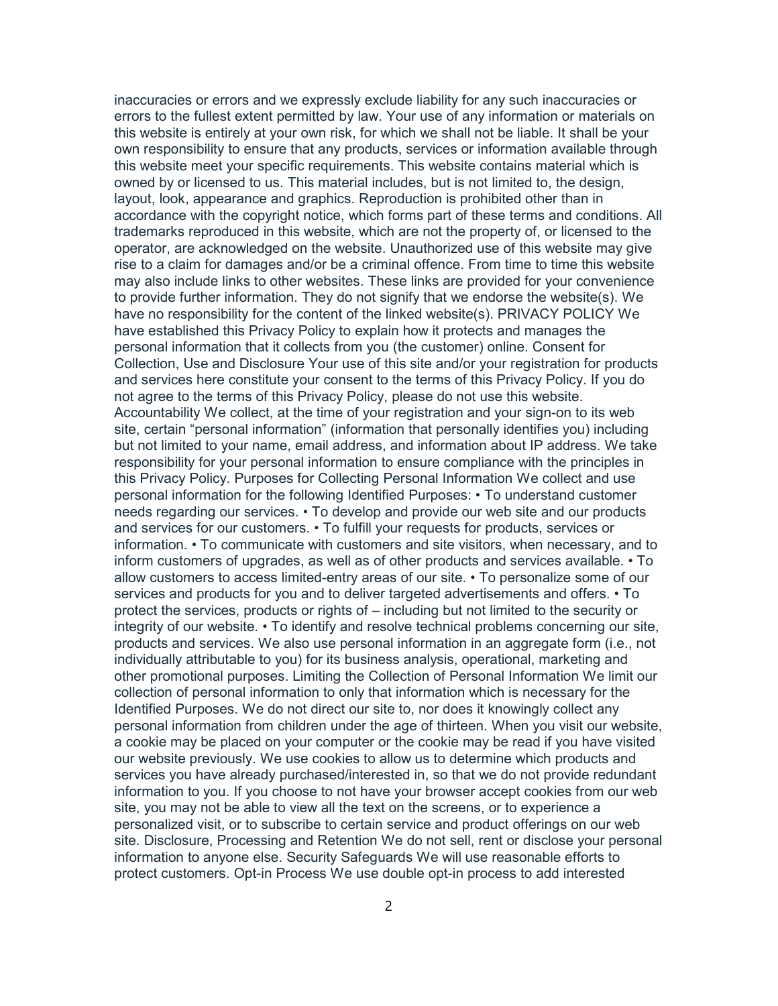inaccuracies or errors and we expressly exclude liability for any such inaccuracies or errors to the fullest extent permitted by law. Your use of any information or materials on this website is entirely at your own risk, for which we shall not be liable. It shall be your own responsibility to ensure that any products, services or information available through this website meet your specific requirements. This website contains material which is owned by or licensed to us. This material includes, but is not limited to, the design, layout, look, appearance and graphics. Reproduction is prohibited other than in accordance with the copyright notice, which forms part of these terms and conditions. All trademarks reproduced in this website, which are not the property of, or licensed to the operator, are acknowledged on the website. Unauthorized use of this website may give rise to a claim for damages and/or be a criminal offence. From time to time this website may also include links to other websites. These links are provided for your convenience to provide further information. They do not signify that we endorse the website(s). We have no responsibility for the content of the linked website(s). PRIVACY POLICY We have established this Privacy Policy to explain how it protects and manages the personal information that it collects from you (the customer) online. Consent for Collection, Use and Disclosure Your use of this site and/or your registration for products and services here constitute your consent to the terms of this Privacy Policy. If you do not agree to the terms of this Privacy Policy, please do not use this website. Accountability We collect, at the time of your registration and your sign-on to its web site, certain "personal information" (information that personally identifies you) including but not limited to your name, email address, and information about IP address. We take responsibility for your personal information to ensure compliance with the principles in this Privacy Policy. Purposes for Collecting Personal Information We collect and use personal information for the following Identified Purposes: • To understand customer needs regarding our services. • To develop and provide our web site and our products and services for our customers. • To fulfill your requests for products, services or information. • To communicate with customers and site visitors, when necessary, and to inform customers of upgrades, as well as of other products and services available. • To allow customers to access limited-entry areas of our site. • To personalize some of our services and products for you and to deliver targeted advertisements and offers. • To protect the services, products or rights of – including but not limited to the security or integrity of our website. • To identify and resolve technical problems concerning our site, products and services. We also use personal information in an aggregate form (i.e., not individually attributable to you) for its business analysis, operational, marketing and other promotional purposes. Limiting the Collection of Personal Information We limit our collection of personal information to only that information which is necessary for the Identified Purposes. We do not direct our site to, nor does it knowingly collect any personal information from children under the age of thirteen. When you visit our website, a cookie may be placed on your computer or the cookie may be read if you have visited our website previously. We use cookies to allow us to determine which products and services you have already purchased/interested in, so that we do not provide redundant information to you. If you choose to not have your browser accept cookies from our web site, you may not be able to view all the text on the screens, or to experience a personalized visit, or to subscribe to certain service and product offerings on our web site. Disclosure, Processing and Retention We do not sell, rent or disclose your personal information to anyone else. Security Safeguards We will use reasonable efforts to protect customers. Opt-in Process We use double opt-in process to add interested